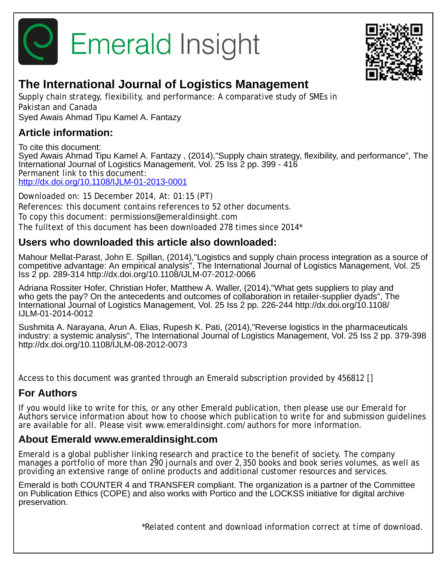



## **The International Journal of Logistics Management**

Supply chain strategy, flexibility, and performance: A comparative study of SMEs in Pakistan and Canada

Syed Awais Ahmad Tipu Kamel A. Fantazy

## **Article information:**

To cite this document: Syed Awais Ahmad Tipu Kamel A. Fantazy , (2014),"Supply chain strategy, flexibility, and performance", The International Journal of Logistics Management, Vol. 25 Iss 2 pp. 399 - 416 Permanent link to this document: <http://dx.doi.org/10.1108/IJLM-01-2013-0001>

Downloaded on: 15 December 2014, At: 01:15 (PT) References: this document contains references to 52 other documents. To copy this document: permissions@emeraldinsight.com The fulltext of this document has been downloaded 278 times since 2014\*

## **Users who downloaded this article also downloaded:**

Mahour Mellat-Parast, John E. Spillan, (2014),"Logistics and supply chain process integration as a source of competitive advantage: An empirical analysis", The International Journal of Logistics Management, Vol. 25 Iss 2 pp. 289-314 http://dx.doi.org/10.1108/IJLM-07-2012-0066

Adriana Rossiter Hofer, Christian Hofer, Matthew A. Waller, (2014),"What gets suppliers to play and who gets the pay? On the antecedents and outcomes of collaboration in retailer-supplier dyads", The International Journal of Logistics Management, Vol. 25 Iss 2 pp. 226-244 http://dx.doi.org/10.1108/ IJLM-01-2014-0012

Sushmita A. Narayana, Arun A. Elias, Rupesh K. Pati, (2014),"Reverse logistics in the pharmaceuticals industry: a systemic analysis", The International Journal of Logistics Management, Vol. 25 Iss 2 pp. 379-398 http://dx.doi.org/10.1108/IJLM-08-2012-0073

Access to this document was granted through an Emerald subscription provided by 456812 []

## **For Authors**

If you would like to write for this, or any other Emerald publication, then please use our Emerald for Authors service information about how to choose which publication to write for and submission guidelines are available for all. Please visit www.emeraldinsight.com/authors for more information.

## **About Emerald www.emeraldinsight.com**

Emerald is a global publisher linking research and practice to the benefit of society. The company manages a portfolio of more than 290 journals and over 2,350 books and book series volumes, as well as providing an extensive range of online products and additional customer resources and services.

Emerald is both COUNTER 4 and TRANSFER compliant. The organization is a partner of the Committee on Publication Ethics (COPE) and also works with Portico and the LOCKSS initiative for digital archive preservation.

\*Related content and download information correct at time of download.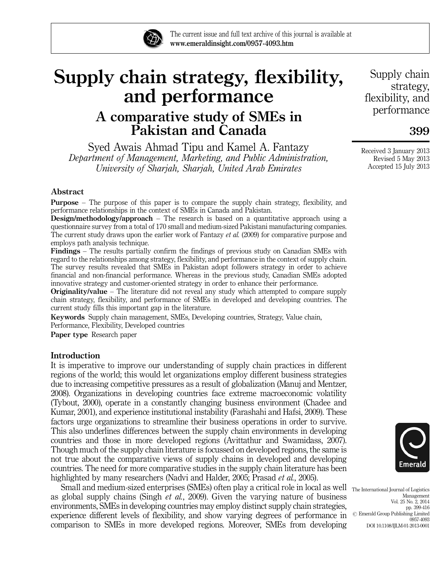

# Supply chain strategy, flexibility, and performance

## A comparative study of SMEs in Pakistan and Canada

Syed Awais Ahmad Tipu and Kamel A. Fantazy Department of Management, Marketing, and Public Administration, University of Sharjah, Sharjah, United Arab Emirates

#### Abstract

**Purpose** – The purpose of this paper is to compare the supply chain strategy, flexibility, and performance relationships in the context of SMEs in Canada and Pakistan.

**Design/methodology/approach** – The research is based on a quantitative approach using a questionnaire survey from a total of 170 small and medium-sized Pakistani manufacturing companies. The current study draws upon the earlier work of Fantazy *et al.* (2009) for comparative purpose and employs path analysis technique.

Findings – The results partially confirm the findings of previous study on Canadian SMEs with regard to the relationships among strategy, flexibility, and performance in the context of supply chain. The survey results revealed that SMEs in Pakistan adopt followers strategy in order to achieve financial and non-financial performance. Whereas in the previous study, Canadian SMEs adopted innovative strategy and customer-oriented strategy in order to enhance their performance.

Originality/value – The literature did not reveal any study which attempted to compare supply chain strategy, flexibility, and performance of SMEs in developed and developing countries. The current study fills this important gap in the literature.

Keywords Supply chain management, SMEs, Developing countries, Strategy, Value chain, Performance, Flexibility, Developed countries

Paper type Research paper

#### Introduction

It is imperative to improve our understanding of supply chain practices in different regions of the world; this would let organizations employ different business strategies due to increasing competitive pressures as a result of globalization (Manuj and Mentzer, 2008). Organizations in developing countries face extreme macroeconomic volatility (Tybout, 2000), operate in a constantly changing business environment (Chadee and Kumar, 2001), and experience institutional instability (Farashahi and Hafsi, 2009). These factors urge organizations to streamline their business operations in order to survive. This also underlines differences between the supply chain environments in developing countries and those in more developed regions (Avittathur and Swamidass, 2007). Though much of the supply chain literature is focussed on developed regions, the same is not true about the comparative views of supply chains in developed and developing countries. The need for more comparative studies in the supply chain literature has been highlighted by many researchers (Nadvi and Halder, 2005; Prasad *et al.*, 2005).

Small and medium-sized enterprises (SMEs) often play a critical role in local as well as global supply chains (Singh *et al.*, 2009). Given the varying nature of business environments, SMEs in developing countries may employ distinct supply chain strategies, experience different levels of flexibility, and show varying degrees of performance in comparison to SMEs in more developed regions. Moreover, SMEs from developing

Supply chain strategy, flexibility, and performance

## 399

Received 3 January 2013 Revised 5 May 2013 Accepted 15 July 2013



The International Journal of Logistics Management Vol. 25 No. 2, 2014 pp. 399-416 r Emerald Group Publishing Limited 0957-4093 DOI 10.1108/IJLM-01-2013-0001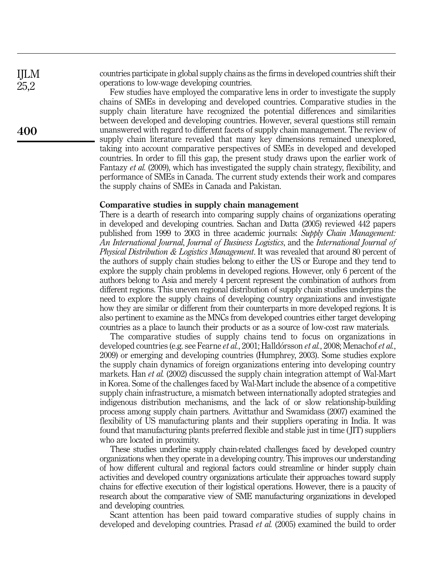countries participate in global supply chains as the firms in developed countries shift their operations to low-wage developing countries.

Few studies have employed the comparative lens in order to investigate the supply chains of SMEs in developing and developed countries. Comparative studies in the supply chain literature have recognized the potential differences and similarities between developed and developing countries. However, several questions still remain unanswered with regard to different facets of supply chain management. The review of supply chain literature revealed that many key dimensions remained unexplored, taking into account comparative perspectives of SMEs in developed and developed countries. In order to fill this gap, the present study draws upon the earlier work of Fantazy et al. (2009), which has investigated the supply chain strategy, flexibility, and performance of SMEs in Canada. The current study extends their work and compares the supply chains of SMEs in Canada and Pakistan.

#### Comparative studies in supply chain management

There is a dearth of research into comparing supply chains of organizations operating in developed and developing countries. Sachan and Datta (2005) reviewed 442 papers published from 1999 to 2003 in three academic journals: Supply Chain Management: An International Journal, Journal of Business Logistics, and the International Journal of Physical Distribution & Logistics Management. It was revealed that around 80 percent of the authors of supply chain studies belong to either the US or Europe and they tend to explore the supply chain problems in developed regions. However, only 6 percent of the authors belong to Asia and merely 4 percent represent the combination of authors from different regions. This uneven regional distribution of supply chain studies underpins the need to explore the supply chains of developing country organizations and investigate how they are similar or different from their counterparts in more developed regions. It is also pertinent to examine as the MNCs from developed countries either target developing countries as a place to launch their products or as a source of low-cost raw materials.

The comparative studies of supply chains tend to focus on organizations in developed countries (e.g. see Fearne et al., 2001; Halldórsson et al., 2008; Menachof et al., 2009) or emerging and developing countries (Humphrey, 2003). Some studies explore the supply chain dynamics of foreign organizations entering into developing country markets. Han et al. (2002) discussed the supply chain integration attempt of Wal-Mart in Korea. Some of the challenges faced by Wal-Mart include the absence of a competitive supply chain infrastructure, a mismatch between internationally adopted strategies and indigenous distribution mechanisms, and the lack of or slow relationship-building process among supply chain partners. Avittathur and Swamidass (2007) examined the flexibility of US manufacturing plants and their suppliers operating in India. It was found that manufacturing plants preferred flexible and stable just in time ( JIT) suppliers who are located in proximity.

These studies underline supply chain-related challenges faced by developed country organizations when they operate in a developing country. This improves our understanding of how different cultural and regional factors could streamline or hinder supply chain activities and developed country organizations articulate their approaches toward supply chains for effective execution of their logistical operations. However, there is a paucity of research about the comparative view of SME manufacturing organizations in developed and developing countries.

Scant attention has been paid toward comparative studies of supply chains in developed and developing countries. Prasad *et al.* (2005) examined the build to order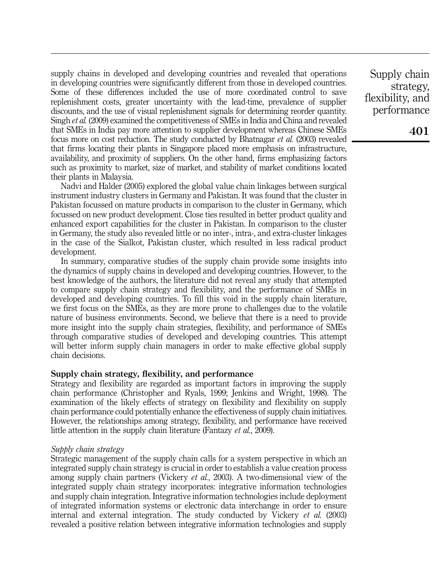supply chains in developed and developing countries and revealed that operations in developing countries were significantly different from those in developed countries. Some of these differences included the use of more coordinated control to save replenishment costs, greater uncertainty with the lead-time, prevalence of supplier discounts, and the use of visual replenishment signals for determining reorder quantity. Singh et al. (2009) examined the competitiveness of SMEs in India and China and revealed that SMEs in India pay more attention to supplier development whereas Chinese SMEs focus more on cost reduction. The study conducted by Bhatnagar et al. (2003) revealed that firms locating their plants in Singapore placed more emphasis on infrastructure, availability, and proximity of suppliers. On the other hand, firms emphasizing factors such as proximity to market, size of market, and stability of market conditions located their plants in Malaysia.

Nadvi and Halder (2005) explored the global value chain linkages between surgical instrument industry clusters in Germany and Pakistan. It was found that the cluster in Pakistan focussed on mature products in comparison to the cluster in Germany, which focussed on new product development. Close ties resulted in better product quality and enhanced export capabilities for the cluster in Pakistan. In comparison to the cluster in Germany, the study also revealed little or no inter-, intra-, and extra-cluster linkages in the case of the Sialkot, Pakistan cluster, which resulted in less radical product development.

In summary, comparative studies of the supply chain provide some insights into the dynamics of supply chains in developed and developing countries. However, to the best knowledge of the authors, the literature did not reveal any study that attempted to compare supply chain strategy and flexibility, and the performance of SMEs in developed and developing countries. To fill this void in the supply chain literature, we first focus on the SMEs, as they are more prone to challenges due to the volatile nature of business environments. Second, we believe that there is a need to provide more insight into the supply chain strategies, flexibility, and performance of SMEs through comparative studies of developed and developing countries. This attempt will better inform supply chain managers in order to make effective global supply chain decisions.

#### Supply chain strategy, flexibility, and performance

Strategy and flexibility are regarded as important factors in improving the supply chain performance (Christopher and Ryals, 1999; Jenkins and Wright, 1998). The examination of the likely effects of strategy on flexibility and flexibility on supply chain performance could potentially enhance the effectiveness of supply chain initiatives. However, the relationships among strategy, flexibility, and performance have received little attention in the supply chain literature (Fantazy et al., 2009).

#### Supply chain strategy

Strategic management of the supply chain calls for a system perspective in which an integrated supply chain strategy is crucial in order to establish a value creation process among supply chain partners (Vickery et al., 2003). A two-dimensional view of the integrated supply chain strategy incorporates: integrative information technologies and supply chain integration. Integrative information technologies include deployment of integrated information systems or electronic data interchange in order to ensure internal and external integration. The study conducted by Vickery et al. (2003) revealed a positive relation between integrative information technologies and supply

Supply chain strategy, flexibility, and performance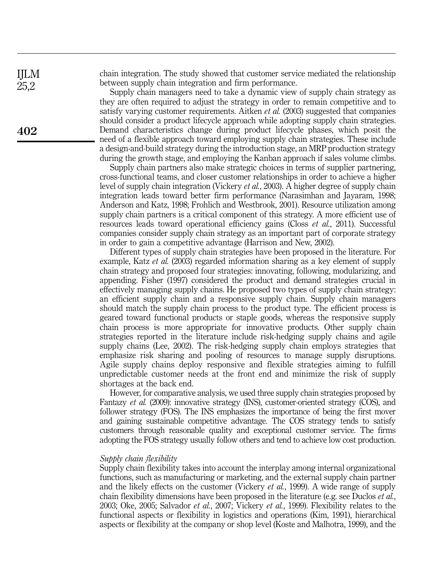chain integration. The study showed that customer service mediated the relationship between supply chain integration and firm performance.

Supply chain managers need to take a dynamic view of supply chain strategy as they are often required to adjust the strategy in order to remain competitive and to satisfy varying customer requirements. Aitken *et al.* (2003) suggested that companies should consider a product lifecycle approach while adopting supply chain strategies. Demand characteristics change during product lifecycle phases, which posit the need of a flexible approach toward employing supply chain strategies. These include a design-and-build strategy during the introduction stage, an MRP production strategy during the growth stage, and employing the Kanban approach if sales volume climbs.

Supply chain partners also make strategic choices in terms of supplier partnering, cross-functional teams, and closer customer relationships in order to achieve a higher level of supply chain integration (Vickery *et al.*, 2003). A higher degree of supply chain integration leads toward better firm performance (Narasimhan and Jayaram, 1998; Anderson and Katz, 1998; Frohlich and Westbrook, 2001). Resource utilization among supply chain partners is a critical component of this strategy. A more efficient use of resources leads toward operational efficiency gains (Closs et al., 2011). Successful companies consider supply chain strategy as an important part of corporate strategy in order to gain a competitive advantage (Harrison and New, 2002).

Different types of supply chain strategies have been proposed in the literature. For example, Katz et al. (2003) regarded information sharing as a key element of supply chain strategy and proposed four strategies: innovating, following, modularizing, and appending. Fisher (1997) considered the product and demand strategies crucial in effectively managing supply chains. He proposed two types of supply chain strategy: an efficient supply chain and a responsive supply chain. Supply chain managers should match the supply chain process to the product type. The efficient process is geared toward functional products or staple goods, whereas the responsive supply chain process is more appropriate for innovative products. Other supply chain strategies reported in the literature include risk-hedging supply chains and agile supply chains (Lee, 2002). The risk-hedging supply chain employs strategies that emphasize risk sharing and pooling of resources to manage supply disruptions. Agile supply chains deploy responsive and flexible strategies aiming to fulfill unpredictable customer needs at the front end and minimize the risk of supply shortages at the back end.

However, for comparative analysis, we used three supply chain strategies proposed by Fantazy et al. (2009): innovative strategy (INS), customer-oriented strategy (COS), and follower strategy (FOS). The INS emphasizes the importance of being the first mover and gaining sustainable competitive advantage. The COS strategy tends to satisfy customers through reasonable quality and exceptional customer service. The firms adopting the FOS strategy usually follow others and tend to achieve low cost production.

#### Supply chain flexibility

Supply chain flexibility takes into account the interplay among internal organizational functions, such as manufacturing or marketing, and the external supply chain partner and the likely effects on the customer (Vickery et al., 1999). A wide range of supply chain flexibility dimensions have been proposed in the literature (e.g. see Duclos *et al.*, 2003; Oke, 2005; Salvador et al., 2007; Vickery et al., 1999). Flexibility relates to the functional aspects or flexibility in logistics and operations (Kim, 1991), hierarchical aspects or flexibility at the company or shop level (Koste and Malhotra, 1999), and the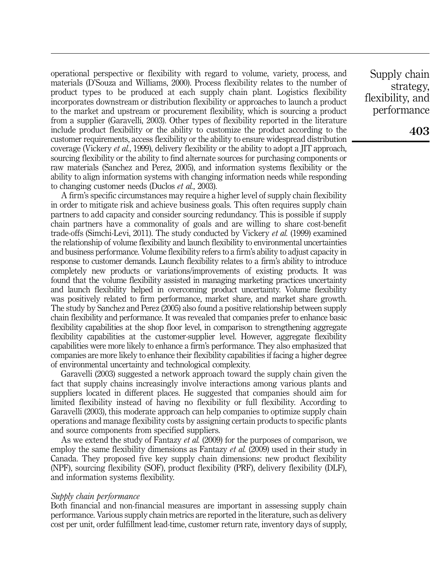operational perspective or flexibility with regard to volume, variety, process, and materials (D'Souza and Williams, 2000). Process flexibility relates to the number of product types to be produced at each supply chain plant. Logistics flexibility incorporates downstream or distribution flexibility or approaches to launch a product to the market and upstream or procurement flexibility, which is sourcing a product from a supplier (Garavelli, 2003). Other types of flexibility reported in the literature include product flexibility or the ability to customize the product according to the customer requirements, access flexibility or the ability to ensure widespread distribution coverage (Vickery et al., 1999), delivery flexibility or the ability to adopt a JIT approach, sourcing flexibility or the ability to find alternate sources for purchasing components or raw materials (Sanchez and Perez, 2005), and information systems flexibility or the ability to align information systems with changing information needs while responding to changing customer needs (Duclos et al., 2003).

A firm's specific circumstances may require a higher level of supply chain flexibility in order to mitigate risk and achieve business goals. This often requires supply chain partners to add capacity and consider sourcing redundancy. This is possible if supply chain partners have a commonality of goals and are willing to share cost-benefit trade-offs (Simchi-Levi, 2011). The study conducted by Vickery et al. (1999) examined the relationship of volume flexibility and launch flexibility to environmental uncertainties and business performance. Volume flexibility refers to a firm's ability to adjust capacity in response to customer demands. Launch flexibility relates to a firm's ability to introduce completely new products or variations/improvements of existing products. It was found that the volume flexibility assisted in managing marketing practices uncertainty and launch flexibility helped in overcoming product uncertainty. Volume flexibility was positively related to firm performance, market share, and market share growth. The study by Sanchez and Perez (2005) also found a positive relationship between supply chain flexibility and performance. It was revealed that companies prefer to enhance basic flexibility capabilities at the shop floor level, in comparison to strengthening aggregate flexibility capabilities at the customer-supplier level. However, aggregate flexibility capabilities were more likely to enhance a firm's performance. They also emphasized that companies are more likely to enhance their flexibility capabilities if facing a higher degree of environmental uncertainty and technological complexity.

Garavelli (2003) suggested a network approach toward the supply chain given the fact that supply chains increasingly involve interactions among various plants and suppliers located in different places. He suggested that companies should aim for limited flexibility instead of having no flexibility or full flexibility. According to Garavelli (2003), this moderate approach can help companies to optimize supply chain operations and manage flexibility costs by assigning certain products to specific plants and source components from specified suppliers.

As we extend the study of Fantazy *et al.* (2009) for the purposes of comparison, we employ the same flexibility dimensions as Fantazy *et al.* (2009) used in their study in Canada. They proposed five key supply chain dimensions: new product flexibility (NPF), sourcing flexibility (SOF), product flexibility (PRF), delivery flexibility (DLF), and information systems flexibility.

#### Supply chain performance

Both financial and non-financial measures are important in assessing supply chain performance. Various supply chain metrics are reported in the literature, such as delivery cost per unit, order fulfillment lead-time, customer return rate, inventory days of supply,

Supply chain strategy, flexibility, and performance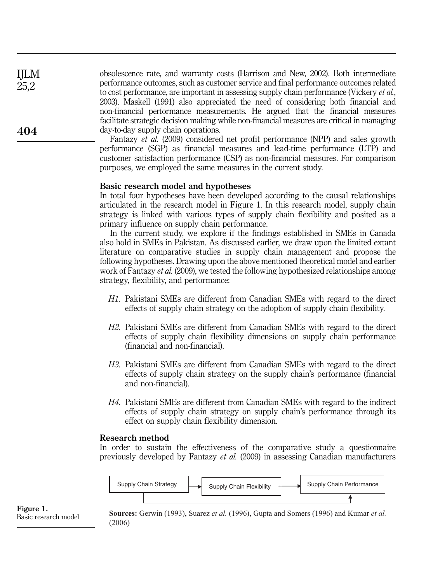obsolescence rate, and warranty costs (Harrison and New, 2002). Both intermediate performance outcomes, such as customer service and final performance outcomes related to cost performance, are important in assessing supply chain performance (Vickery *et al.*, 2003). Maskell (1991) also appreciated the need of considering both financial and non-financial performance measurements. He argued that the financial measures facilitate strategic decision making while non-financial measures are critical in managing day-to-day supply chain operations.

Fantazy et al. (2009) considered net profit performance (NPP) and sales growth performance (SGP) as financial measures and lead-time performance (LTP) and customer satisfaction performance (CSP) as non-financial measures. For comparison purposes, we employed the same measures in the current study.

#### Basic research model and hypotheses

In total four hypotheses have been developed according to the causal relationships articulated in the research model in Figure 1. In this research model, supply chain strategy is linked with various types of supply chain flexibility and posited as a primary influence on supply chain performance.

In the current study, we explore if the findings established in SMEs in Canada also hold in SMEs in Pakistan. As discussed earlier, we draw upon the limited extant literature on comparative studies in supply chain management and propose the following hypotheses. Drawing upon the above mentioned theoretical model and earlier work of Fantazy *et al.* (2009), we tested the following hypothesized relationships among strategy, flexibility, and performance:

- H1. Pakistani SMEs are different from Canadian SMEs with regard to the direct effects of supply chain strategy on the adoption of supply chain flexibility.
- H2. Pakistani SMEs are different from Canadian SMEs with regard to the direct effects of supply chain flexibility dimensions on supply chain performance (financial and non-financial).
- H3. Pakistani SMEs are different from Canadian SMEs with regard to the direct effects of supply chain strategy on the supply chain's performance (financial and non-financial).
- H4. Pakistani SMEs are different from Canadian SMEs with regard to the indirect effects of supply chain strategy on supply chain's performance through its effect on supply chain flexibility dimension.

#### Research method

In order to sustain the effectiveness of the comparative study a questionnaire previously developed by Fantazy et al. (2009) in assessing Canadian manufacturers



Basic research model

**Sources:** Gerwin (1993), Suarez *et al.* (1996), Gupta and Somers (1996) and Kumar *et al.* (2006)

IJLM 25,2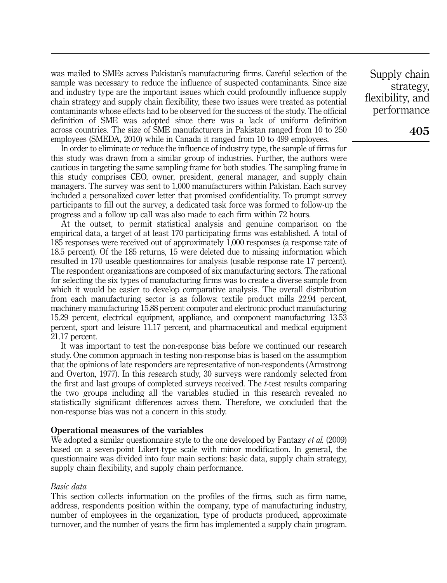was mailed to SMEs across Pakistan's manufacturing firms. Careful selection of the sample was necessary to reduce the influence of suspected contaminants. Since size and industry type are the important issues which could profoundly influence supply chain strategy and supply chain flexibility, these two issues were treated as potential contaminants whose effects had to be observed for the success of the study. The official definition of SME was adopted since there was a lack of uniform definition across countries. The size of SME manufacturers in Pakistan ranged from 10 to 250 employees (SMEDA, 2010) while in Canada it ranged from 10 to 499 employees.

In order to eliminate or reduce the influence of industry type, the sample of firms for this study was drawn from a similar group of industries. Further, the authors were cautious in targeting the same sampling frame for both studies. The sampling frame in this study comprises CEO, owner, president, general manager, and supply chain managers. The survey was sent to 1,000 manufacturers within Pakistan. Each survey included a personalized cover letter that promised confidentiality. To prompt survey participants to fill out the survey, a dedicated task force was formed to follow-up the progress and a follow up call was also made to each firm within 72 hours.

At the outset, to permit statistical analysis and genuine comparison on the empirical data, a target of at least 170 participating firms was established. A total of 185 responses were received out of approximately 1,000 responses (a response rate of 18.5 percent). Of the 185 returns, 15 were deleted due to missing information which resulted in 170 useable questionnaires for analysis (usable response rate 17 percent). The respondent organizations are composed of six manufacturing sectors. The rational for selecting the six types of manufacturing firms was to create a diverse sample from which it would be easier to develop comparative analysis. The overall distribution from each manufacturing sector is as follows: textile product mills 22.94 percent, machinery manufacturing 15.88 percent computer and electronic product manufacturing 15.29 percent, electrical equipment, appliance, and component manufacturing 13.53 percent, sport and leisure 11.17 percent, and pharmaceutical and medical equipment 21.17 percent.

It was important to test the non-response bias before we continued our research study. One common approach in testing non-response bias is based on the assumption that the opinions of late responders are representative of non-respondents (Armstrong and Overton, 1977). In this research study, 30 surveys were randomly selected from the first and last groups of completed surveys received. The t-test results comparing the two groups including all the variables studied in this research revealed no statistically significant differences across them. Therefore, we concluded that the non-response bias was not a concern in this study.

#### Operational measures of the variables

We adopted a similar questionnaire style to the one developed by Fantazy *et al.* (2009) based on a seven-point Likert-type scale with minor modification. In general, the questionnaire was divided into four main sections: basic data, supply chain strategy, supply chain flexibility, and supply chain performance.

#### Basic data

This section collects information on the profiles of the firms, such as firm name, address, respondents position within the company, type of manufacturing industry, number of employees in the organization, type of products produced, approximate turnover, and the number of years the firm has implemented a supply chain program.

Supply chain strategy, flexibility, and performance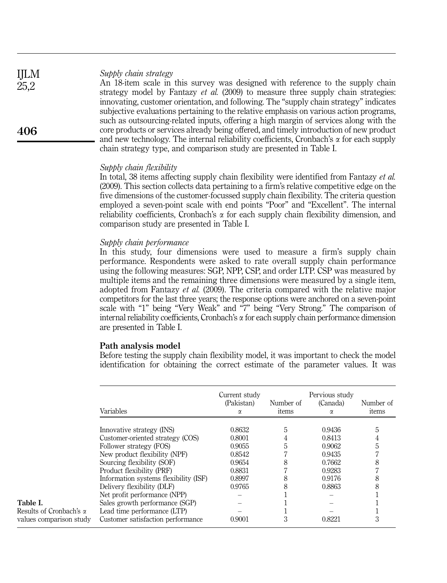#### Supply chain strategy

An 18-item scale in this survey was designed with reference to the supply chain strategy model by Fantazy *et al.* (2009) to measure three supply chain strategies: innovating, customer orientation, and following. The "supply chain strategy" indicates subjective evaluations pertaining to the relative emphasis on various action programs, such as outsourcing-related inputs, offering a high margin of services along with the core products or services already being offered, and timely introduction of new product and new technology. The internal reliability coefficients, Cronbach's  $\alpha$  for each supply chain strategy type, and comparison study are presented in Table I.

### Supply chain flexibility

In total, 38 items affecting supply chain flexibility were identified from Fantazy *et al.* (2009). This section collects data pertaining to a firm's relative competitive edge on the five dimensions of the customer-focussed supply chain flexibility. The criteria question employed a seven-point scale with end points "Poor" and "Excellent". The internal reliability coefficients, Cronbach's  $\alpha$  for each supply chain flexibility dimension, and comparison study are presented in Table I.

### Supply chain performance

In this study, four dimensions were used to measure a firm's supply chain performance. Respondents were asked to rate overall supply chain performance using the following measures: SGP, NPP, CSP, and order LTP. CSP was measured by multiple items and the remaining three dimensions were measured by a single item, adopted from Fantazy et al. (2009). The criteria compared with the relative major competitors for the last three years; the response options were anchored on a seven-point scale with "1" being "Very Weak" and "7" being "Very Strong." The comparison of internal reliability coefficients, Cronbach's a for each supply chain performance dimension are presented in Table I.

#### Path analysis model

Before testing the supply chain flexibility model, it was important to check the model identification for obtaining the correct estimate of the parameter values. It was

| Variables                             | Current study<br>(Pakistan)<br>α | Number of<br>items | Pervious study<br>(Canada)<br>$\alpha$ | Number of<br>items |
|---------------------------------------|----------------------------------|--------------------|----------------------------------------|--------------------|
| Innovative strategy (INS)             | 0.8632                           | 5                  | 0.9436                                 | 5                  |
| Customer-oriented strategy (COS)      | 0.8001                           | 4                  | 0.8413                                 | 4                  |
| Follower strategy (FOS)               | 0.9055                           | 5                  | 0.9062                                 | 5                  |
| New product flexibility (NPF)         | 0.8542                           |                    | 0.9435                                 |                    |
| Sourcing flexibility (SOF)            | 0.9654                           |                    | 0.7662                                 | 8                  |
| Product flexibility (PRF)             | 0.8831                           |                    | 0.9283                                 |                    |
| Information systems flexibility (ISF) | 0.8997                           |                    | 0.9176                                 | 8                  |
| Delivery flexibility (DLF)            | 0.9765                           |                    | 0.8863                                 |                    |
| Net profit performance (NPP)          |                                  |                    |                                        |                    |
| Sales growth performance (SGP)        |                                  |                    |                                        |                    |
| Lead time performance (LTP)           |                                  |                    |                                        |                    |
| Customer satisfaction performance     | 29001                            |                    | በ ጸንን                                  | 3                  |

Table I.

406

IJLM 25,2

Results of Cronbach values comparison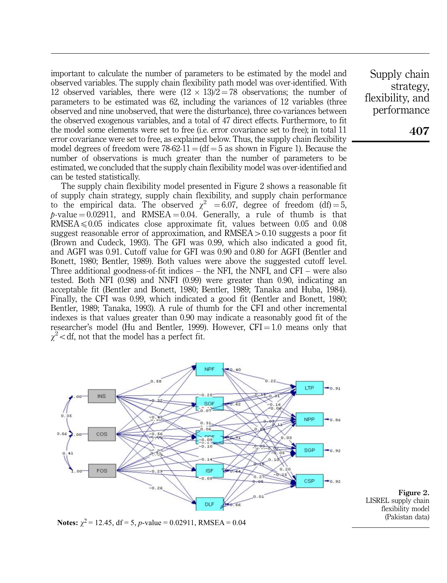important to calculate the number of parameters to be estimated by the model and observed variables. The supply chain flexibility path model was over-identified. With 12 observed variables, there were  $(12 \times 13)/2 = 78$  observations; the number of parameters to be estimated was 62, including the variances of 12 variables (three observed and nine unobserved, that were the disturbance), three co-variances between the observed exogenous variables, and a total of 47 direct effects. Furthermore, to fit the model some elements were set to free (i.e. error covariance set to free); in total 11 error covariance were set to free, as explained below. Thus, the supply chain flexibility model degrees of freedom were 78-62-11  $=$  (df  $=$  5 as shown in Figure 1). Because the number of observations is much greater than the number of parameters to be estimated, we concluded that the supply chain flexibility model was over-identified and can be tested statistically.

The supply chain flexibility model presented in Figure 2 shows a reasonable fit of supply chain strategy, supply chain flexibility, and supply chain performance to the empirical data. The observed  $\chi^2$  =6.07, degree of freedom (df) =5, p-value  $=$  0.02911, and RMSEA  $=$  0.04. Generally, a rule of thumb is that  $RMSEA \leq 0.05$  indicates close approximate fit, values between 0.05 and 0.08 suggest reasonable error of approximation, and  $RMSEA > 0.10$  suggests a poor fit (Brown and Cudeck, 1993). The GFI was 0.99, which also indicated a good fit, and AGFI was 0.91. Cutoff value for GFI was 0.90 and 0.80 for AGFI (Bentler and Bonett, 1980; Bentler, 1989). Both values were above the suggested cutoff level. Three additional goodness-of-fit indices – the NFI, the NNFI, and CFI – were also tested. Both NFI (0.98) and NNFI (0.99) were greater than 0.90, indicating an acceptable fit (Bentler and Bonett, 1980; Bentler, 1989; Tanaka and Huba, 1984). Finally, the CFI was 0.99, which indicated a good fit (Bentler and Bonett, 1980; Bentler, 1989; Tanaka, 1993). A rule of thumb for the CFI and other incremental indexes is that values greater than 0.90 may indicate a reasonably good fit of the researcher's model (Hu and Bentler, 1999). However,  $CFI = 1.0$  means only that  $\chi^2$  < df, not that the model has a perfect fit.



Figure 2. LISREL supply chain flexibility model (Pakistan data)

**Notes:**  $\chi^2 = 12.45$ , df = 5, *p*-value = 0.02911, RMSEA = 0.04

Supply chain strategy, flexibility, and performance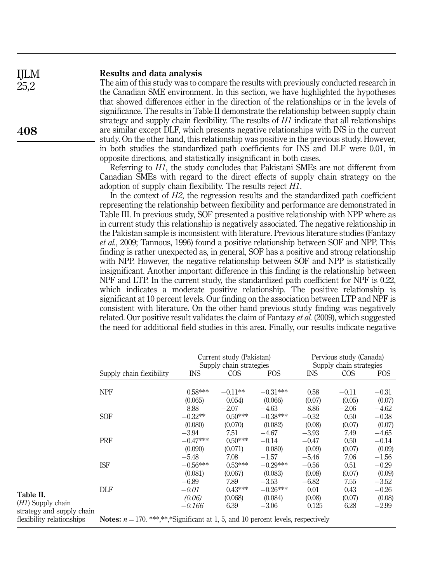#### Results and data analysis IJLM

408

25,2

The aim of this study was to compare the results with previously conducted research in the Canadian SME environment. In this section, we have highlighted the hypotheses that showed differences either in the direction of the relationships or in the levels of significance. The results in Table II demonstrate the relationship between supply chain strategy and supply chain flexibility. The results of  $H1$  indicate that all relationships are similar except DLF, which presents negative relationships with INS in the current study. On the other hand, this relationship was positive in the previous study. However, in both studies the standardized path coefficients for INS and DLF were 0.01, in opposite directions, and statistically insignificant in both cases.

Referring to H1, the study concludes that Pakistani SMEs are not different from Canadian SMEs with regard to the direct effects of supply chain strategy on the adoption of supply chain flexibility. The results reject H1.

In the context of  $H2$ , the regression results and the standardized path coefficient representing the relationship between flexibility and performance are demonstrated in Table III. In previous study, SOF presented a positive relationship with NPP where as in current study this relationship is negatively associated. The negative relationship in the Pakistan sample is inconsistent with literature. Previous literature studies (Fantazy et al., 2009; Tannous, 1996) found a positive relationship between SOF and NPP. This finding is rather unexpected as, in general, SOF has a positive and strong relationship with NPP. However, the negative relationship between SOF and NPP is statistically insignificant. Another important difference in this finding is the relationship between NPF and LTP. In the current study, the standardized path coefficient for NPF is 0.22, which indicates a moderate positive relationship. The positive relationship is significant at 10 percent levels. Our finding on the association between LTP and NPF is consistent with literature. On the other hand previous study finding was negatively related. Our positive result validates the claim of Fantazy et al. (2009), which suggested the need for additional field studies in this area. Finally, our results indicate negative

|                                                  |                                                                                            |            | Current study (Pakistan)<br>Supply chain strategies |            |         | Pervious study (Canada)<br>Supply chain strategies |            |
|--------------------------------------------------|--------------------------------------------------------------------------------------------|------------|-----------------------------------------------------|------------|---------|----------------------------------------------------|------------|
|                                                  | Supply chain flexibility                                                                   | <b>INS</b> | <b>COS</b>                                          | <b>FOS</b> | INS.    | <b>COS</b>                                         | <b>FOS</b> |
|                                                  | <b>NPF</b>                                                                                 | $0.58***$  | $-0.11**$                                           | $-0.31***$ | 0.58    | $-0.11$                                            | $-0.31$    |
|                                                  |                                                                                            | (0.065)    | 0.054                                               | (0.066)    | (0.07)  | (0.05)                                             | (0.07)     |
|                                                  |                                                                                            | 8.88       | $-2.07$                                             | $-4.63$    | 8.86    | $-2.06$                                            | $-4.62$    |
|                                                  | <b>SOF</b>                                                                                 | $-0.32**$  | $0.50***$                                           | $-0.38***$ | $-0.32$ | 0.50                                               | $-0.38$    |
|                                                  |                                                                                            | (0.080)    | (0.070)                                             | (0.082)    | (0.08)  | (0.07)                                             | (0.07)     |
|                                                  |                                                                                            | $-3.94$    | 7.51                                                | $-4.67$    | $-3.93$ | 7.49                                               | $-4.65$    |
|                                                  | PRF                                                                                        | $-0.47***$ | $0.50***$                                           | $-0.14$    | $-0.47$ | 0.50                                               | $-0.14$    |
|                                                  |                                                                                            | (0.090)    | (0.071)                                             | 0.080)     | (0.09)  | (0.07)                                             | (0.09)     |
|                                                  |                                                                                            | $-5.48$    | 7.08                                                | $-1.57$    | $-5.46$ | 7.06                                               | $-1.56$    |
|                                                  | <b>ISF</b>                                                                                 | $-0.56***$ | $0.53***$                                           | $-0.29***$ | $-0.56$ | 0.51                                               | $-0.29$    |
|                                                  |                                                                                            | (0.081)    | (0.067)                                             | (0.083)    | (0.08)  | (0.07)                                             | (0.09)     |
|                                                  |                                                                                            | $-6.89$    | 7.89                                                | $-3.53$    | $-6.82$ | 7.55                                               | $-3.52$    |
|                                                  | <b>DLF</b>                                                                                 | $-0.01$    | $0.43***$                                           | $-0.26***$ | 0.01    | 0.43                                               | $-0.26$    |
| Table II.                                        |                                                                                            | (0.06)     | (0.068)                                             | (0.084)    | (0.08)  | (0.07)                                             | (0.08)     |
| $(H1)$ Supply chain<br>strategy and supply chain |                                                                                            | $-0.166$   | 6.39                                                | $-3.06$    | 0.125   | 6.28                                               | $-2.99$    |
| flexibility relationships                        | <b>Notes:</b> $n = 170$ . ***,**,*Significant at 1, 5, and 10 percent levels, respectively |            |                                                     |            |         |                                                    |            |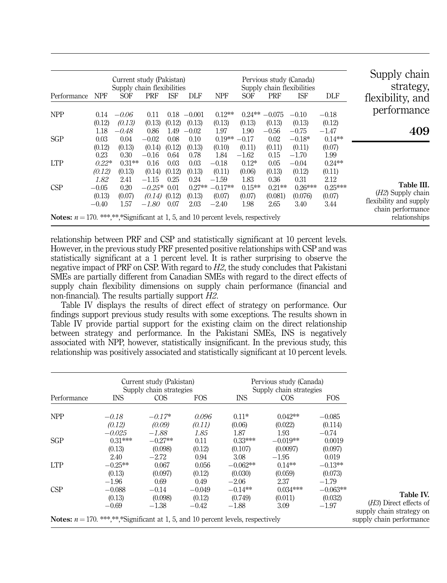| Performance                                                                                | <b>NPF</b> | Current study (Pakistan)<br>Supply chain flexibilities<br><b>SOF</b> | PRF      | <b>ISF</b> | <b>DLF</b>     | <b>NPF</b> | <b>SOF</b> | PRF              | Pervious study (Canada)<br>Supply chain flexibilities<br><b>ISF</b> | DLF       | Supply chain<br>strategy,                   |
|--------------------------------------------------------------------------------------------|------------|----------------------------------------------------------------------|----------|------------|----------------|------------|------------|------------------|---------------------------------------------------------------------|-----------|---------------------------------------------|
|                                                                                            |            |                                                                      |          |            |                |            |            |                  |                                                                     |           | flexibility, and                            |
| <b>NPP</b>                                                                                 | 0.14       | $-0.06$                                                              | 0.11     |            | $0.18 - 0.001$ | $0.12**$   |            | $0.24** - 0.075$ | $-0.10$                                                             | $-0.18$   | performance                                 |
|                                                                                            | (0.12)     | (0.13)                                                               | (0.13)   | (0.12)     | (0.13)         | (0.13)     | (0.13)     | (0.13)           | (0.13)                                                              | (0.12)    |                                             |
|                                                                                            | 1.18       | $-0.48$                                                              | 0.86     | 1.49       | $-0.02$        | 1.97       | 1.90       | $-0.56$          | $-0.75$                                                             | $-1.47$   | 409                                         |
| <b>SGP</b>                                                                                 | 0.03       | 0.04                                                                 | $-0.02$  | 0.08       | 0.10           | $0.19**$   | $-0.17$    | 0.02             | $-0.18*$                                                            | $0.14**$  |                                             |
|                                                                                            | (0.12)     | (0.13)                                                               | (0.14)   | (0.12)     | (0.13)         | (0.10)     | (0.11)     | (0.11)           | (0.11)                                                              | (0.07)    |                                             |
|                                                                                            | 0.23       | 0.30                                                                 | $-0.16$  | 0.64       | 0.78           | 1.84       | $-1.62$    | 0.15             | $-1.70$                                                             | 1.99      |                                             |
| <b>LTP</b>                                                                                 | $0.22*$    | $0.31**$                                                             | 0.16     | 0.03       | 0.03           | $-0.18$    | $0.12*$    | 0.05             | $-0.04$                                                             | $0.24**$  |                                             |
|                                                                                            | (0.12)     | (0.13)                                                               | (0.14)   | (0.12)     | (0.13)         | (0.11)     | (0.06)     | (0.13)           | (0.12)                                                              | (0.11)    |                                             |
|                                                                                            | 1.82       | 2.41                                                                 | $-1.15$  | 0.25       | 0.24           | $-1.59$    | 1.83       | 0.36             | 0.31                                                                | 2.12      |                                             |
| CSP                                                                                        | $-0.05$    | 0.20                                                                 | $-0.25*$ | 0.01       | $0.27**$       | $-0.17**$  | $0.15**$   | $0.21**$         | $0.26***$                                                           | $0.25***$ | Table III.                                  |
|                                                                                            | (0.13)     | (0.07)                                                               | (0.14)   | (0.12)     | (0.13)         | (0.07)     | (0.07)     | (0.081)          | (0.076)                                                             | (0.07)    | $(H2)$ Supply chain                         |
|                                                                                            | $-0.40$    | 1.57                                                                 | $-1.80$  | 0.07       | 2.03           | $-2.40$    | 1.98       | 2.65             | 3.40                                                                | 3.44      | flexibility and supply<br>chain performance |
| <b>Notes:</b> $n = 170$ . ***.*** Significant at 1, 5, and 10 percent levels, respectively |            |                                                                      |          |            |                |            |            |                  |                                                                     |           | relationships                               |

relationship between PRF and CSP and statistically significant at 10 percent levels. However, in the previous study PRF presented positive relationships with CSP and was statistically significant at a 1 percent level. It is rather surprising to observe the negative impact of PRF on CSP. With regard to H2, the study concludes that Pakistani SMEs are partially different from Canadian SMEs with regard to the direct effects of supply chain flexibility dimensions on supply chain performance (financial and non-financial). The results partially support H2.

Table IV displays the results of direct effect of strategy on performance. Our findings support previous study results with some exceptions. The results shown in Table IV provide partial support for the existing claim on the direct relationship between strategy and performance. In the Pakistani SMEs, INS is negatively associated with NPP, however, statistically insignificant. In the previous study, this relationship was positively associated and statistically significant at 10 percent levels.

|                                                                                            |                       | Current study (Pakistan)<br>Supply chain strategies |                    |                      | Pervious study (Canada)<br>Supply chain strategies |                       |                                                      |
|--------------------------------------------------------------------------------------------|-----------------------|-----------------------------------------------------|--------------------|----------------------|----------------------------------------------------|-----------------------|------------------------------------------------------|
| Performance                                                                                | <b>INS</b>            | <b>COS</b>                                          | FOS.               | <b>INS</b>           | <b>COS</b>                                         | <b>FOS</b>            |                                                      |
| <b>NPP</b>                                                                                 | $-0.18$<br>(0.12)     | $-0.17*$<br>(0.09)                                  | 0.096<br>(0.11)    | $0.11*$<br>(0.06)    | $0.042**$<br>(0.022)                               | $-0.085$<br>(0.114)   |                                                      |
| SGP                                                                                        | $-0.025$<br>$0.31***$ | $-1.88$<br>$-0.27**$                                | 1.85<br>0.11       | 1.87<br>$0.33***$    | 1.93<br>$-0.019**$                                 | $-0.74$<br>0.0019     |                                                      |
|                                                                                            | (0.13)                | (0.098)                                             | (0.12)             | (0.107)              | (0.0097)                                           | (0.097)               |                                                      |
| <b>LTP</b>                                                                                 | 2.40<br>$-0.25**$     | $-2.72$<br>0.067                                    | 0.94<br>0.056      | 3.08<br>$-0.062**$   | $-1.95$<br>$0.14**$                                | 0.019<br>$-0.13**$    |                                                      |
|                                                                                            | (0.13)<br>$-1.96$     | (0.097)<br>0.69                                     | (0.12)<br>0.49     | (0.030)<br>$-2.06$   | (0.059)<br>2.37                                    | (0.073)<br>$-1.79$    |                                                      |
| CSP                                                                                        | $-0.088$<br>(0.13)    | $-0.14$<br>(0.098)                                  | $-0.049$<br>(0.12) | $-0.14**$<br>(0.749) | $0.034***$<br>(0.011)                              | $-0.063**$<br>(0.032) | Table IV.<br>$(H3)$ Direct effects of                |
| <b>Notes:</b> $n = 170$ . ***.*** Significant at 1, 5, and 10 percent levels, respectively | $-0.69$               | $-1.38$                                             | $-0.42$            | $-1.88$              | 3.09                                               | $-1.97$               | supply chain strategy on<br>supply chain performance |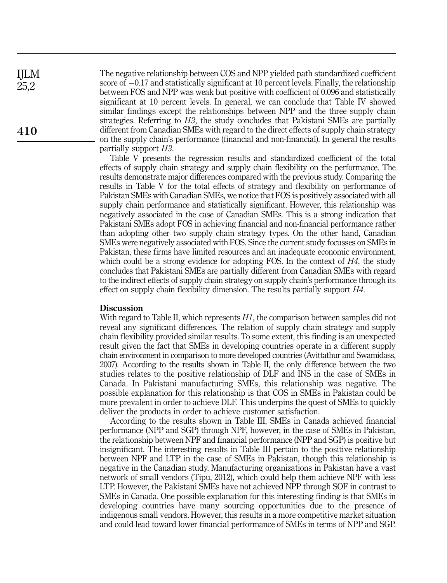The negative relationship between COS and NPP yielded path standardized coefficient score of  $-0.17$  and statistically significant at 10 percent levels. Finally, the relationship between FOS and NPP was weak but positive with coefficient of 0.096 and statistically significant at 10 percent levels. In general, we can conclude that Table IV showed similar findings except the relationships between NPP and the three supply chain strategies. Referring to H3, the study concludes that Pakistani SMEs are partially different from Canadian SMEs with regard to the direct effects of supply chain strategy on the supply chain's performance (financial and non-financial). In general the results partially support H3. 410 IJLM 25,2

> Table V presents the regression results and standardized coefficient of the total effects of supply chain strategy and supply chain flexibility on the performance. The results demonstrate major differences compared with the previous study. Comparing the results in Table V for the total effects of strategy and flexibility on performance of Pakistan SMEs with Canadian SMEs, we notice that FOS is positively associated with all supply chain performance and statistically significant. However, this relationship was negatively associated in the case of Canadian SMEs. This is a strong indication that Pakistani SMEs adopt FOS in achieving financial and non-financial performance rather than adopting other two supply chain strategy types. On the other hand, Canadian SMEs were negatively associated with FOS. Since the current study focusses on SMEs in Pakistan, these firms have limited resources and an inadequate economic environment, which could be a strong evidence for adopting FOS. In the context of  $H<sub>4</sub>$ , the study concludes that Pakistani SMEs are partially different from Canadian SMEs with regard to the indirect effects of supply chain strategy on supply chain's performance through its effect on supply chain flexibility dimension. The results partially support H4.

#### **Discussion**

With regard to Table II, which represents  $H1$ , the comparison between samples did not reveal any significant differences. The relation of supply chain strategy and supply chain flexibility provided similar results. To some extent, this finding is an unexpected result given the fact that SMEs in developing countries operate in a different supply chain environment in comparison to more developed countries (Avittathur and Swamidass, 2007). According to the results shown in Table II, the only difference between the two studies relates to the positive relationship of DLF and INS in the case of SMEs in Canada. In Pakistani manufacturing SMEs, this relationship was negative. The possible explanation for this relationship is that COS in SMEs in Pakistan could be more prevalent in order to achieve DLF. This underpins the quest of SMEs to quickly deliver the products in order to achieve customer satisfaction.

According to the results shown in Table III, SMEs in Canada achieved financial performance (NPP and SGP) through NPF, however, in the case of SMEs in Pakistan, the relationship between NPF and financial performance (NPP and SGP) is positive but insignificant. The interesting results in Table III pertain to the positive relationship between NPF and LTP in the case of SMEs in Pakistan, though this relationship is negative in the Canadian study. Manufacturing organizations in Pakistan have a vast network of small vendors (Tipu, 2012), which could help them achieve NPF with less LTP. However, the Pakistani SMEs have not achieved NPP through SOF in contrast to SMEs in Canada. One possible explanation for this interesting finding is that SMEs in developing countries have many sourcing opportunities due to the presence of indigenous small vendors. However, this results in a more competitive market situation and could lead toward lower financial performance of SMEs in terms of NPP and SGP.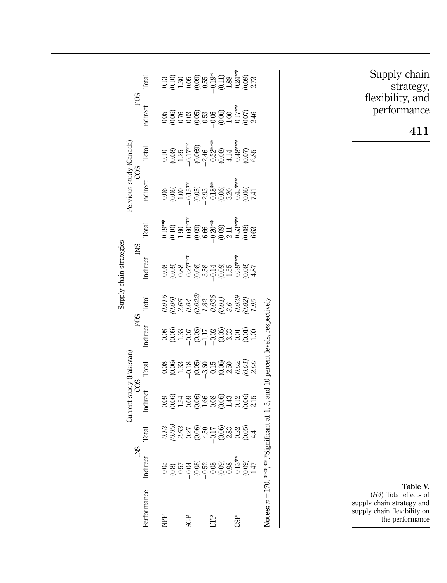|                                |                                                                 |                                                                                                                                                                                                                                                                                                                                                     | Current study (Pakistan)                               |                                                                                                                                                                                                                                                                                                                                                  |                                    |                                                                                                                                                                                                                                                                                                                         | Supply chain strategies |       |                                                                                                                                                                                                                                                                                                                                                  |                                                                                                                                                                                                                                                                                                                                                    |                 |                                                                      |
|--------------------------------|-----------------------------------------------------------------|-----------------------------------------------------------------------------------------------------------------------------------------------------------------------------------------------------------------------------------------------------------------------------------------------------------------------------------------------------|--------------------------------------------------------|--------------------------------------------------------------------------------------------------------------------------------------------------------------------------------------------------------------------------------------------------------------------------------------------------------------------------------------------------|------------------------------------|-------------------------------------------------------------------------------------------------------------------------------------------------------------------------------------------------------------------------------------------------------------------------------------------------------------------------|-------------------------|-------|--------------------------------------------------------------------------------------------------------------------------------------------------------------------------------------------------------------------------------------------------------------------------------------------------------------------------------------------------|----------------------------------------------------------------------------------------------------------------------------------------------------------------------------------------------------------------------------------------------------------------------------------------------------------------------------------------------------|-----------------|----------------------------------------------------------------------|
|                                | Ã                                                               |                                                                                                                                                                                                                                                                                                                                                     | $\cos$                                                 |                                                                                                                                                                                                                                                                                                                                                  | FOS                                |                                                                                                                                                                                                                                                                                                                         | <b>EN</b>               |       | Pervious study (Canada)<br>COS                                                                                                                                                                                                                                                                                                                   |                                                                                                                                                                                                                                                                                                                                                    | FO <sub>S</sub> |                                                                      |
| Performance                    | Indirect                                                        | Total                                                                                                                                                                                                                                                                                                                                               | Indirect                                               | <b>Total</b>                                                                                                                                                                                                                                                                                                                                     | Indirect                           | Total                                                                                                                                                                                                                                                                                                                   | Indirect                | Total | Indirect                                                                                                                                                                                                                                                                                                                                         | Total                                                                                                                                                                                                                                                                                                                                              | Indirect        | Total                                                                |
| È                              |                                                                 |                                                                                                                                                                                                                                                                                                                                                     |                                                        |                                                                                                                                                                                                                                                                                                                                                  |                                    |                                                                                                                                                                                                                                                                                                                         |                         |       |                                                                                                                                                                                                                                                                                                                                                  |                                                                                                                                                                                                                                                                                                                                                    |                 |                                                                      |
|                                | 8<br>8 8 5 8 8 8 8 9 8 8 7 8<br>8 9 6 9 8 8 9 8 7 8 9 8 7 9 8 7 | $\begin{array}{l} 13 \\ 7 \\ 13 \\ 6 \\ 7 \\ 8 \\ 9 \\ 10 \\ 11 \\ 12 \\ 13 \\ 14 \\ 15 \\ 16 \\ 17 \\ 19 \\ 10 \\ 10 \\ 10 \\ 10 \\ 10 \\ 10 \\ 10 \\ 14 \\ 10 \\ 10 \\ 10 \\ 10 \\ 14 \\ 10 \\ 10 \\ 10 \\ 14 \\ 10 \\ 10 \\ 14 \\ 14 \\ 10 \\ 10 \\ 14 \\ 14 \\ 10 \\ 10 \\ 14 \\ 14 \\ 10 \\ 10 \\ 14 \\ 14 \\ 15 \\ 16 \\ 17 \\ 18 \\ 19 \\ 1$ |                                                        | $\begin{array}{l} 866 \\ - 696 \\ - 696 \\ - 696 \\ - 696 \\ - 696 \\ - 696 \\ - 696 \\ - 696 \\ - 696 \\ - 696 \\ - 696 \\ - 696 \\ - 696 \\ - 696 \\ - 696 \\ - 696 \\ - 696 \\ - 696 \\ - 696 \\ - 696 \\ - 696 \\ - 696 \\ - 696 \\ - 696 \\ - 696 \\ - 696 \\ - 696 \\ - 696 \\ - 696 \\ - 696 \\ - 696 \\ - 696 \\ - 696 \\ - 696 \\ - 69$ | 866335657866335669<br>POTPOTPOMPOT | $\begin{smallmatrix} 6 & 6 & 6 \\ 7 & 6 & 6 \\ 6 & 6 & 6 \\ 7 & 6 & 6 \\ 8 & 6 & 6 \\ 9 & 10 & 8 \\ 11 & 11 & 12 \\ 13 & 15 & 13 \\ 14 & 16 & 15 \\ 15 & 16 & 16 \\ 16 & 17 & 18 \\ 17 & 18 & 19 \\ 18 & 19 & 19 \\ 19 & 19 & 19 \\ 19 & 19 & 19 \\ 10 & 19 & 19 \\ 11 & 10 & 19 \\ 13 & 19 & 19 \\ 16 & 19 & 19 \\ 19$ |                         |       | $\begin{array}{l} 066 \\ -0.06 \\ -1.01 \\ -1.01 \\ -0.05 \\ -0.05 \\ -0.05 \\ -0.05 \\ -0.05 \\ -0.05 \\ -0.05 \\ -0.05 \\ -0.05 \\ -0.05 \\ -0.05 \\ -0.05 \\ -0.05 \\ -0.05 \\ -0.05 \\ -0.05 \\ -0.05 \\ -0.05 \\ -0.05 \\ -0.05 \\ -0.05 \\ -0.05 \\ -0.05 \\ -0.05 \\ -0.05 \\ -0.05 \\ -0.05 \\ -0.05 \\ -0.05 \\ -0.05 \\ -0.05 \\ -0.0$ | $\begin{array}{l} 10 \\ -0.8 \\ -0.08 \\ -0.02 \\ -0.02 \\ -0.03 \\ -0.04 \\ -0.04 \\ -0.04 \\ -0.04 \\ -0.04 \\ -0.04 \\ -0.04 \\ -0.04 \\ -0.04 \\ -0.04 \\ -0.04 \\ -0.04 \\ -0.04 \\ -0.04 \\ -0.04 \\ -0.04 \\ -0.04 \\ -0.04 \\ -0.04 \\ -0.04 \\ -0.04 \\ -0.04 \\ -0.04 \\ -0.04 \\ -0.04 \\ -0.04 \\ -0.04 \\ -0.04 \\ -0.04 \\ -0.04 \\$ |                 | .<br>ਹ ਰ ਅ ਕੇ ਕੇ ਕੇ ਦੀ ਰ ਅ ਪ੍ਰਭਾ ਹੈ.<br>ਹ ਰ ਅ ਕੇ ਕੇ ਦੀ ਰ ਅ ਪ੍ਰਭਾ ਹੈ. |
|                                |                                                                 |                                                                                                                                                                                                                                                                                                                                                     |                                                        |                                                                                                                                                                                                                                                                                                                                                  |                                    |                                                                                                                                                                                                                                                                                                                         |                         |       |                                                                                                                                                                                                                                                                                                                                                  |                                                                                                                                                                                                                                                                                                                                                    |                 |                                                                      |
| 5GP                            |                                                                 |                                                                                                                                                                                                                                                                                                                                                     |                                                        |                                                                                                                                                                                                                                                                                                                                                  |                                    |                                                                                                                                                                                                                                                                                                                         |                         |       |                                                                                                                                                                                                                                                                                                                                                  |                                                                                                                                                                                                                                                                                                                                                    |                 |                                                                      |
|                                |                                                                 |                                                                                                                                                                                                                                                                                                                                                     |                                                        |                                                                                                                                                                                                                                                                                                                                                  |                                    |                                                                                                                                                                                                                                                                                                                         |                         |       |                                                                                                                                                                                                                                                                                                                                                  |                                                                                                                                                                                                                                                                                                                                                    |                 |                                                                      |
|                                |                                                                 |                                                                                                                                                                                                                                                                                                                                                     |                                                        |                                                                                                                                                                                                                                                                                                                                                  |                                    |                                                                                                                                                                                                                                                                                                                         |                         |       |                                                                                                                                                                                                                                                                                                                                                  |                                                                                                                                                                                                                                                                                                                                                    |                 |                                                                      |
| È                              |                                                                 |                                                                                                                                                                                                                                                                                                                                                     |                                                        |                                                                                                                                                                                                                                                                                                                                                  |                                    |                                                                                                                                                                                                                                                                                                                         |                         |       |                                                                                                                                                                                                                                                                                                                                                  |                                                                                                                                                                                                                                                                                                                                                    |                 |                                                                      |
|                                |                                                                 |                                                                                                                                                                                                                                                                                                                                                     |                                                        |                                                                                                                                                                                                                                                                                                                                                  |                                    |                                                                                                                                                                                                                                                                                                                         |                         |       |                                                                                                                                                                                                                                                                                                                                                  |                                                                                                                                                                                                                                                                                                                                                    |                 |                                                                      |
|                                |                                                                 |                                                                                                                                                                                                                                                                                                                                                     |                                                        |                                                                                                                                                                                                                                                                                                                                                  |                                    |                                                                                                                                                                                                                                                                                                                         |                         |       |                                                                                                                                                                                                                                                                                                                                                  |                                                                                                                                                                                                                                                                                                                                                    |                 |                                                                      |
| සි                             |                                                                 |                                                                                                                                                                                                                                                                                                                                                     |                                                        |                                                                                                                                                                                                                                                                                                                                                  |                                    |                                                                                                                                                                                                                                                                                                                         |                         |       |                                                                                                                                                                                                                                                                                                                                                  |                                                                                                                                                                                                                                                                                                                                                    |                 |                                                                      |
|                                |                                                                 |                                                                                                                                                                                                                                                                                                                                                     |                                                        |                                                                                                                                                                                                                                                                                                                                                  |                                    |                                                                                                                                                                                                                                                                                                                         |                         |       |                                                                                                                                                                                                                                                                                                                                                  |                                                                                                                                                                                                                                                                                                                                                    |                 |                                                                      |
|                                |                                                                 |                                                                                                                                                                                                                                                                                                                                                     |                                                        |                                                                                                                                                                                                                                                                                                                                                  |                                    |                                                                                                                                                                                                                                                                                                                         |                         |       |                                                                                                                                                                                                                                                                                                                                                  |                                                                                                                                                                                                                                                                                                                                                    |                 |                                                                      |
| Notes: $n = 170$ . *** *** *Si |                                                                 |                                                                                                                                                                                                                                                                                                                                                     | gnificant at 1, 5, and 10 percent levels, respectively |                                                                                                                                                                                                                                                                                                                                                  |                                    |                                                                                                                                                                                                                                                                                                                         |                         |       |                                                                                                                                                                                                                                                                                                                                                  |                                                                                                                                                                                                                                                                                                                                                    |                 |                                                                      |
|                                |                                                                 |                                                                                                                                                                                                                                                                                                                                                     |                                                        |                                                                                                                                                                                                                                                                                                                                                  |                                    |                                                                                                                                                                                                                                                                                                                         |                         |       |                                                                                                                                                                                                                                                                                                                                                  |                                                                                                                                                                                                                                                                                                                                                    |                 |                                                                      |
|                                |                                                                 |                                                                                                                                                                                                                                                                                                                                                     |                                                        |                                                                                                                                                                                                                                                                                                                                                  |                                    |                                                                                                                                                                                                                                                                                                                         |                         |       |                                                                                                                                                                                                                                                                                                                                                  |                                                                                                                                                                                                                                                                                                                                                    |                 |                                                                      |
|                                |                                                                 |                                                                                                                                                                                                                                                                                                                                                     |                                                        |                                                                                                                                                                                                                                                                                                                                                  |                                    |                                                                                                                                                                                                                                                                                                                         |                         |       |                                                                                                                                                                                                                                                                                                                                                  |                                                                                                                                                                                                                                                                                                                                                    |                 |                                                                      |

Supply chain strategy, flexibility, and performance

411

Table V. (H4) Total effects of supply chain strategy and supply chain flexibility on the performance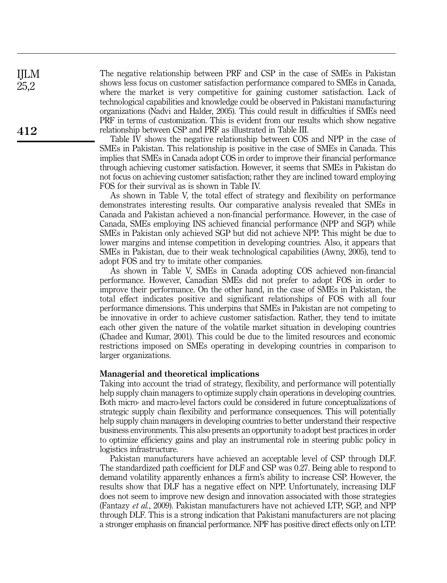The negative relationship between PRF and CSP in the case of SMEs in Pakistan shows less focus on customer satisfaction performance compared to SMEs in Canada, where the market is very competitive for gaining customer satisfaction. Lack of technological capabilities and knowledge could be observed in Pakistani manufacturing organizations (Nadvi and Halder, 2005). This could result in difficulties if SMEs need PRF in terms of customization. This is evident from our results which show negative relationship between CSP and PRF as illustrated in Table III.

Table IV shows the negative relationship between COS and NPP in the case of SMEs in Pakistan. This relationship is positive in the case of SMEs in Canada. This implies that SMEs in Canada adopt COS in order to improve their financial performance through achieving customer satisfaction. However, it seems that SMEs in Pakistan do not focus on achieving customer satisfaction; rather they are inclined toward employing FOS for their survival as is shown in Table IV.

As shown in Table V, the total effect of strategy and flexibility on performance demonstrates interesting results. Our comparative analysis revealed that SMEs in Canada and Pakistan achieved a non-financial performance. However, in the case of Canada, SMEs employing INS achieved financial performance (NPP and SGP) while SMEs in Pakistan only achieved SGP but did not achieve NPP. This might be due to lower margins and intense competition in developing countries. Also, it appears that SMEs in Pakistan, due to their weak technological capabilities (Awny, 2005), tend to adopt FOS and try to imitate other companies.

As shown in Table V, SMEs in Canada adopting COS achieved non-financial performance. However, Canadian SMEs did not prefer to adopt FOS in order to improve their performance. On the other hand, in the case of SMEs in Pakistan, the total effect indicates positive and significant relationships of FOS with all four performance dimensions. This underpins that SMEs in Pakistan are not competing to be innovative in order to achieve customer satisfaction. Rather, they tend to imitate each other given the nature of the volatile market situation in developing countries (Chadee and Kumar, 2001). This could be due to the limited resources and economic restrictions imposed on SMEs operating in developing countries in comparison to larger organizations.

#### Managerial and theoretical implications

Taking into account the triad of strategy, flexibility, and performance will potentially help supply chain managers to optimize supply chain operations in developing countries. Both micro- and macro-level factors could be considered in future conceptualizations of strategic supply chain flexibility and performance consequences. This will potentially help supply chain managers in developing countries to better understand their respective business environments. This also presents an opportunity to adopt best practices in order to optimize efficiency gains and play an instrumental role in steering public policy in logistics infrastructure.

Pakistan manufacturers have achieved an acceptable level of CSP through DLF. The standardized path coefficient for DLF and CSP was 0.27. Being able to respond to demand volatility apparently enhances a firm's ability to increase CSP. However, the results show that DLF has a negative effect on NPP. Unfortunately, increasing DLF does not seem to improve new design and innovation associated with those strategies (Fantazy et al., 2009). Pakistan manufacturers have not achieved LTP, SGP, and NPP through DLF. This is a strong indication that Pakistani manufacturers are not placing a stronger emphasis on financial performance. NPF has positive direct effects only on LTP.

412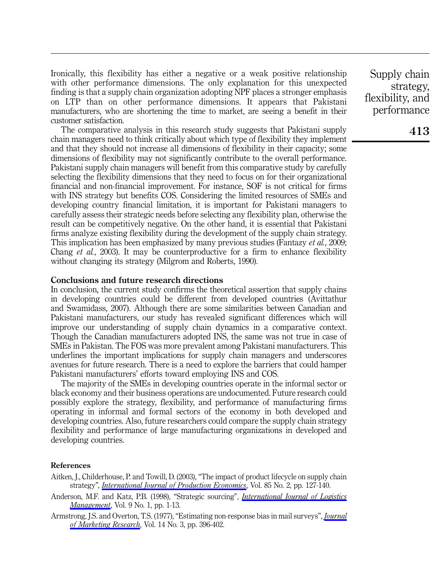Ironically, this flexibility has either a negative or a weak positive relationship with other performance dimensions. The only explanation for this unexpected finding is that a supply chain organization adopting NPF places a stronger emphasis on LTP than on other performance dimensions. It appears that Pakistani manufacturers, who are shortening the time to market, are seeing a benefit in their customer satisfaction.

The comparative analysis in this research study suggests that Pakistani supply chain managers need to think critically about which type of flexibility they implement and that they should not increase all dimensions of flexibility in their capacity; some dimensions of flexibility may not significantly contribute to the overall performance. Pakistani supply chain managers will benefit from this comparative study by carefully selecting the flexibility dimensions that they need to focus on for their organizational financial and non-financial improvement. For instance, SOF is not critical for firms with INS strategy but benefits COS. Considering the limited resources of SMEs and developing country financial limitation, it is important for Pakistani managers to carefully assess their strategic needs before selecting any flexibility plan, otherwise the result can be competitively negative. On the other hand, it is essential that Pakistani firms analyze existing flexibility during the development of the supply chain strategy. This implication has been emphasized by many previous studies (Fantazy et al., 2009; Chang *et al.*, 2003). It may be counterproductive for a firm to enhance flexibility without changing its strategy (Milgrom and Roberts, 1990).

#### Conclusions and future research directions

In conclusion, the current study confirms the theoretical assertion that supply chains in developing countries could be different from developed countries (Avittathur and Swamidass, 2007). Although there are some similarities between Canadian and Pakistani manufacturers, our study has revealed significant differences which will improve our understanding of supply chain dynamics in a comparative context. Though the Canadian manufacturers adopted INS, the same was not true in case of SMEs in Pakistan. The FOS was more prevalent among Pakistani manufacturers. This underlines the important implications for supply chain managers and underscores avenues for future research. There is a need to explore the barriers that could hamper Pakistani manufacturers' efforts toward employing INS and COS.

The majority of the SMEs in developing countries operate in the informal sector or black economy and their business operations are undocumented. Future research could possibly explore the strategy, flexibility, and performance of manufacturing firms operating in informal and formal sectors of the economy in both developed and developing countries. Also, future researchers could compare the supply chain strategy flexibility and performance of large manufacturing organizations in developed and developing countries.

#### References

- Aitken, J., Childerhouse, P. and Towill, D. (2003), "The impact of product lifecycle on supply chain strategy", [International Journal of Production Economics](http://www.emeraldinsight.com/action/showLinks?crossref=10.1016%2FS0925-5273%2803%2900105-1&isi=000184713800002), Vol. 85 No. 2, pp. 127-140.
- Anderson, M.F. and Katz, P.B. (1998), "Strategic sourcing", *[International Journal of Logistics](http://www.emeraldinsight.com/action/showLinks?system=10.1108%2F09574099810805708) [Management](http://www.emeraldinsight.com/action/showLinks?system=10.1108%2F09574099810805708)*, Vol. 9 No. 1, pp. 1-13.
- Armstrong, J.S. and Overton, T.S. (1977), "Estimating non-response bias in mail surveys", *[Journal](http://www.emeraldinsight.com/action/showLinks?crossref=10.2307%2F3150783&isi=A1977DS66100020)* [of Marketing Research](http://www.emeraldinsight.com/action/showLinks?crossref=10.2307%2F3150783&isi=A1977DS66100020), Vol. 14 No. 3, pp. 396-402.

Supply chain strategy, flexibility, and performance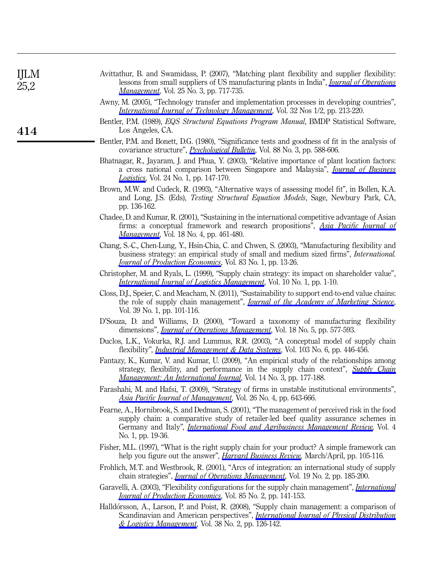| <b>IJLM</b><br>25,2 | Avittathur, B. and Swamidass, P. (2007), "Matching plant flexibility and supplier flexibility:<br>lessons from small suppliers of US manufacturing plants in India", <i>Journal of Oberations</i><br><i>Management</i> , Vol. 25 No. 3, pp. 717-735.                                                     |
|---------------------|----------------------------------------------------------------------------------------------------------------------------------------------------------------------------------------------------------------------------------------------------------------------------------------------------------|
|                     | Awny, M. (2005), "Technology transfer and implementation processes in developing countries",<br>International Journal of Technology Management, Vol. 32 Nos 1/2, pp. 213-220.                                                                                                                            |
| 414                 | Bentler, P.M. (1989), EQS Structural Equations Program Manual, BMDP Statistical Software,<br>Los Angeles, CA.                                                                                                                                                                                            |
|                     | Bentler, P.M. and Bonett, D.G. (1980), "Significance tests and goodness of fit in the analysis of<br>covariance structure", <i>Psychological Bulletin</i> , Vol. 88 No. 3, pp. 588-606.                                                                                                                  |
|                     | Bhatnagar, R., Jayaram, J. and Phua, Y. (2003), "Relative importance of plant location factors:<br>a cross national comparison between Singapore and Malaysia", <i>Journal of Business</i><br><i>Logistics</i> , Vol. 24 No. 1, pp. 147-170.                                                             |
|                     | Brown, M.W. and Cudeck, R. (1993), "Alternative ways of assessing model fit", in Bollen, K.A.<br>and Long, J.S. (Eds), <i>Testing Structural Equation Models</i> , Sage, Newbury Park, CA,<br>pp. 136-162.                                                                                               |
|                     | Chadee, D. and Kumar, R. (2001), "Sustaining in the international competitive advantage of Asian<br>firms: a conceptual framework and research propositions", Asia Pacific Journal of<br>Management, Vol. 18 No. 4, pp. 461-480.                                                                         |
|                     | Chang, S.-C., Chen-Lung, Y., Hsin-Chia, C. and Chwen, S. (2003), "Manufacturing flexibility and<br>business strategy: an empirical study of small and medium sized firms", <i>International.</i><br><i><u><b>Journal of Production Economics</b></u></i> , Vol. 83 No. 1, pp. 13-26.                     |
|                     | Christopher, M. and Ryals, L. (1999), "Supply chain strategy: its impact on shareholder value",<br><i>International Journal of Logistics Management</i> , Vol. 10 No. 1, pp. 1-10.                                                                                                                       |
|                     | Closs, D.J., Speier, C. and Meacham, N. (2011), "Sustainability to support end-to-end value chains:<br>the role of supply chain management", <i>Journal of the Academy of Marketing Science</i> ,<br>Vol. 39 No. 1, pp. 101-116.                                                                         |
|                     | D'Souza, D. and Williams, D. (2000), "Toward a taxonomy of manufacturing flexibility<br>dimensions", <i>Journal of Operations Management</i> , Vol. 18 No. 5, pp. 577-593.                                                                                                                               |
|                     | Duclos, L.K., Vokurka, R.J. and Lummus, R.R. (2003), "A conceptual model of supply chain<br>flexibility", <i>Industrial Management &amp; Data Systems</i> , Vol. 103 No. 6, pp. 446-456.                                                                                                                 |
|                     | Fantazy, K., Kumar, V. and Kumar, U. (2009), "An empirical study of the relationships among<br>strategy, flexibility, and performance in the supply chain context", Subbly Chain<br>Management: An International Journal, Vol. 14 No. 3, pp. 177-188.                                                    |
|                     | Farashahi, M. and Hafsi, T. (2009), "Strategy of firms in unstable institutional environments",<br>Asia Pacific Journal of Management, Vol. 26 No. 4, pp. 643-666.                                                                                                                                       |
|                     | Fearne, A., Hornibrook, S. and Dedman, S. (2001), "The management of perceived risk in the food<br>supply chain: a comparative study of retailer-led beef quality assurance schemes in<br>Germany and Italy", <i>International Food and Agribusiness Management Review</i> , Vol. 4<br>No. 1, pp. 19-36. |
|                     | Fisher, M.L. (1997), "What is the right supply chain for your product? A simple framework can<br>help you figure out the answer", <i>Harvard Business Review</i> , March/April, pp. 105-116.                                                                                                             |
|                     | Frohlich, M.T. and Westbrook, R. (2001), "Arcs of integration: an international study of supply<br>chain strategies", <i>Journal of Operations Management</i> , Vol. 19 No. 2, pp. 185-200.                                                                                                              |
|                     | Garavelli, A. (2003), "Flexibility configurations for the supply chain management", <i>International</i><br><b>Journal of Production Economics</b> , Vol. 85 No. 2, pp. 141-153.                                                                                                                         |
|                     | Halldórsson, A., Larson, P. and Poist, R. (2008), "Supply chain management: a comparison of<br>Scandinavian and American perspectives", <i>International Journal of Physical Distribution</i><br>& Logistics Management, Vol. 38 No. 2, pp. 126-142.                                                     |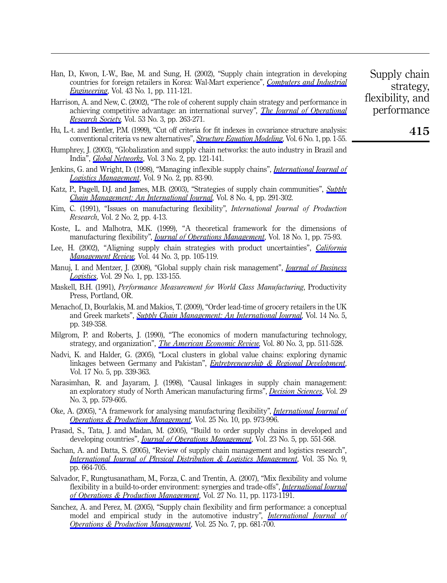- Han, D., Kwon, I.-W., Bae, M. and Sung, H. (2002), "Supply chain integration in developing countries for foreign retailers in Korea: Wal-Mart experience", [Computers and Industrial](http://www.emeraldinsight.com/action/showLinks?crossref=10.1016%2FS0360-8352%2802%2900070-0&isi=000176447900007) *[Engineering](http://www.emeraldinsight.com/action/showLinks?crossref=10.1016%2FS0360-8352%2802%2900070-0&isi=000176447900007)*, Vol. 43 No. 1, pp. 111-121.
- Harrison, A. and New, C. (2002), "The role of coherent supply chain strategy and performance in achieving competitive advantage: an international survey", [The Journal of Operational](http://www.emeraldinsight.com/action/showLinks?crossref=10.1057%2Fpalgrave.jors.2601193&isi=000174194400004) [Research Society](http://www.emeraldinsight.com/action/showLinks?crossref=10.1057%2Fpalgrave.jors.2601193&isi=000174194400004), Vol. 53 No. 3, pp. 263-271.
- Hu, L.-t. and Bentler, P.M. (1999), "Cut off criteria for fit indexes in covariance structure analysis: conventional criteria vs new alternatives", *[Structure Equation Modeling](http://www.emeraldinsight.com/action/showLinks?crossref=10.1080%2F10705519909540118&isi=000208063500001)*, Vol. 6 No. 1, pp. 1-55.
- Humphrey, J. (2003), "Globalization and supply chain networks: the auto industry in Brazil and India", [Global Networks](http://www.emeraldinsight.com/action/showLinks?crossref=10.1111%2F1471-0374.00053&isi=000187205600002), Vol. 3 No. 2, pp. 121-141.
- Jenkins, G. and Wright, D. (1998), "Managing inflexible supply chains", [International Journal of](http://www.emeraldinsight.com/action/showLinks?system=10.1108%2F09574099810805852) [Logistics Management](http://www.emeraldinsight.com/action/showLinks?system=10.1108%2F09574099810805852), Vol. 9 No. 2, pp. 83-90.
- Katz, P., Pagell, D.J. and James, M.B. (2003), "Strategies of supply chain communities", [Supply](http://www.emeraldinsight.com/action/showLinks?system=10.1108%2F13598540310490053&isi=000185709100012) [Chain Management: An International Journal](http://www.emeraldinsight.com/action/showLinks?system=10.1108%2F13598540310490053&isi=000185709100012), Vol. 8 No. 4, pp. 291-302.
- Kim, C. (1991), "Issues on manufacturing flexibility", International Journal of Production Research, Vol. 2 No. 2, pp. 4-13.
- Koste, L. and Malhotra, M.K. (1999), "A theoretical framework for the dimensions of manufacturing flexibility", *Journal of Oberations Management*, Vol. 18 No. 1, pp. 75-93.
- Lee, H. (2002), "Aligning supply chain strategies with product uncertainties", *[California](http://www.emeraldinsight.com/action/showLinks?crossref=10.2307%2F41166135)* [Management Review](http://www.emeraldinsight.com/action/showLinks?crossref=10.2307%2F41166135), Vol. 44 No. 3, pp. 105-119.
- Manuj, I. and Mentzer, J. (2008), "Global supply chain risk management", *[Journal of Business](http://www.emeraldinsight.com/action/showLinks?crossref=10.1002%2Fj.2158-1592.2008.tb00072.x)* [Logistics](http://www.emeraldinsight.com/action/showLinks?crossref=10.1002%2Fj.2158-1592.2008.tb00072.x), Vol. 29 No. 1, pp. 133-155.
- Maskell, B.H. (1991), Performance Measurement for World Class Manufacturing, Productivity Press, Portland, OR.
- Menachof, D., Bourlakis, M. and Makios, T. (2009), "Order lead-time of grocery retailers in the UK and Greek markets", [Supply Chain Management: An International Journal](http://www.emeraldinsight.com/action/showLinks?system=10.1108%2F13598540910980260&isi=000270068200003), Vol. 14 No. 5, pp. 349-358.
- Milgrom, P. and Roberts, J. (1990), "The economics of modern manufacturing technology, strategy, and organization", *[The American Economic Review](http://www.emeraldinsight.com/action/showLinks?isi=A1990DM56800014)*, Vol. 80 No. 3, pp. 511-528.
- Nadvi, K. and Halder, G. (2005), "Local clusters in global value chains: exploring dynamic linkages between Germany and Pakistan", *[Entrepreneurship & Regional Development](http://www.emeraldinsight.com/action/showLinks?crossref=10.1080%2F08985620500247785&isi=000232495700002)*, Vol. 17 No. 5, pp. 339-363.
- Narasimhan, R. and Jayaram, J. (1998), "Causal linkages in supply chain management: an exploratory study of North American manufacturing firms", [Decision Sciences](http://www.emeraldinsight.com/action/showLinks?crossref=10.1111%2Fj.1540-5915.1998.tb01355.x&isi=000081562900003), Vol. 29 No. 3, pp. 579-605.
- Oke, A. (2005), "A framework for analysing manufacturing flexibility", *[International Journal of](http://www.emeraldinsight.com/action/showLinks?system=10.1108%2F01443570510619482&isi=000232421300010)* [Operations & Production Management](http://www.emeraldinsight.com/action/showLinks?system=10.1108%2F01443570510619482&isi=000232421300010), Vol. 25 No. 10, pp. 973-996.
- Prasad, S., Tata, J. and Madan, M. (2005), "Build to order supply chains in developed and developing countries", *[Journal of Operations Management](http://www.emeraldinsight.com/action/showLinks?crossref=10.1016%2Fj.jom.2004.10.011&isi=000230519900009)*, Vol. 23 No. 5, pp. 551-568.
- Sachan, A. and Datta, S. (2005), "Review of supply chain management and logistics research", [International Journal of Physical Distribution & Logistics Management](http://www.emeraldinsight.com/action/showLinks?system=10.1108%2F09600030510632032), Vol. 35 No. 9, pp. 664-705.
- Salvador, F., Rungtusanatham, M., Forza, C. and Trentin, A. (2007), "Mix flexibility and volume flexibility in a build-to-order environment: synergies and trade-offs", *[International Journal](http://www.emeraldinsight.com/action/showLinks?system=10.1108%2F01443570710830584&isi=000251845300003)* [of Operations & Production Management](http://www.emeraldinsight.com/action/showLinks?system=10.1108%2F01443570710830584&isi=000251845300003), Vol. 27 No. 11, pp. 1173-1191.
- Sanchez, A. and Perez, M. (2005), "Supply chain flexibility and firm performance: a conceptual model and empirical study in the automotive industry", *[International Journal of](http://www.emeraldinsight.com/action/showLinks?system=10.1108%2F01443570510605090&isi=000231920100005)* [Operations & Production Management](http://www.emeraldinsight.com/action/showLinks?system=10.1108%2F01443570510605090&isi=000231920100005), Vol. 25 No. 7, pp. 681-700.

Supply chain strategy, flexibility, and performance